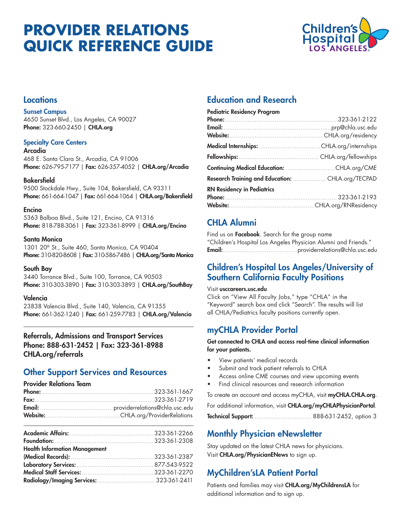# **PROVIDER RELATIONS QUICK REFERENCE GUIDE**



### **Locations**

#### Sunset Campus

4650 Sunset Blvd., Los Angeles, CA 90027 Phone: 323-660-2450 | CHLA.org

#### **Specialty Care Centers**

#### Arcadia

468 E. Santa Clara St., Arcadia, CA 91006 Phone: 626-795-7177 | Fax: 626-357-4052 | CHLA.org/Arcadia

#### **Bakersfield**

9500 Stockdale Hwy., Suite 104, Bakersfield, CA 93311 Phone: 661-664-1047 | Fax: 661-664-1064 | CHLA.org/Bakersfield

#### Encino

5363 Balboa Blvd., Suite 121, Encino, CA 91316 Phone: 818-788-3061 | Fax: 323-361-8999 | CHLA.org/Encino

#### Santa Monica

1301 20<sup>th</sup> St., Suite 460, Santa Monica, CA 90404 Phone: 310-820-8608 | Fax: 310-586-7486 | CHLA.org/Santa Monica

#### South Bay

3440 Torrance Blvd., Suite 100, Torrance, CA 90503 Phone: 310-303-3890 | Fax: 310-303-3893 | CHLA.org/SouthBay

#### Valencia

23838 Valencia Blvd., Suite 140, Valencia, CA 91355 Phone: 661-362-1240 | Fax: 661-259-7783 | CHLA.org/Valencia

### Referrals, Admissions and Transport Services Phone: 888-631-2452 | Fax: 323-361-8988 CHLA.org/referrals

# Other Support Services and Resources

#### Provider Relations Team

| Fax: 323-361-2719 |
|-------------------|
|                   |
|                   |

| <b>Health Information Management</b> |  |
|--------------------------------------|--|
|                                      |  |
|                                      |  |
|                                      |  |
|                                      |  |

# Education and Research

| <b>Pediatric Residency Program</b>                |  |
|---------------------------------------------------|--|
|                                                   |  |
|                                                   |  |
|                                                   |  |
|                                                   |  |
|                                                   |  |
|                                                   |  |
| Research Training and Education:  CHLA.org/TECPAD |  |
| <b>RN Residency in Pediatrics</b>                 |  |
|                                                   |  |
|                                                   |  |

# CHLA Alumni

Find us on Facebook. Search for the group name "Children's Hospital Los Angeles Physician Alumni and Friends." Email:.........................................providerrelations@chla.usc.edu

## Children's Hospital Los Angeles/University of Southern California Faculty Positions

#### Visit usccareers.usc.edu

Click on "View All Faculty Jobs," type "CHLA" in the "Keyword" search box and click "Search". The results will list all CHLA/Pediatrics faculty positions currently open.

## myCHLA Provider Portal

#### Get connected to CHLA and access real-time clinical information for your patients.

- View patients' medical records
- Submit and track patient referrals to CHLA
- Access online CME courses and view upcoming events
- Find clinical resources and research information

To create an account and access myCHLA, visit myCHLA.CHLA.org.

For additional information, visit CHLA.org/myCHLAPhysicianPortal.

Technical Support: ............................... 888-631-2452, option 3

# Monthly Physician eNewsletter

Stay updated on the latest CHLA news for physicians. Visit CHLA.org/PhysicianENews to sign up.

# MyChildren'sLA Patient Portal

Patients and families may visit CHLA.org/MyChildrensLA for additional information and to sign up.